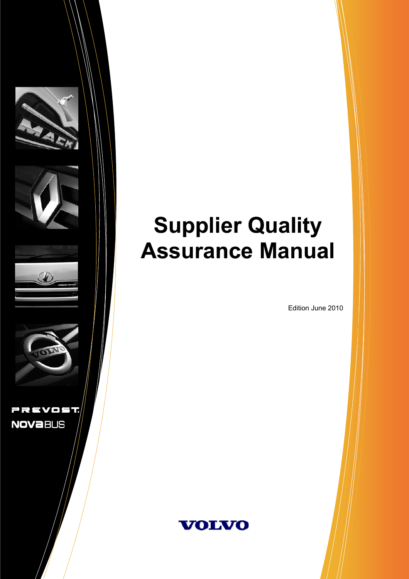

# **Supplier Quality Assurance Manual Assurance Manual**

Edition June 2010

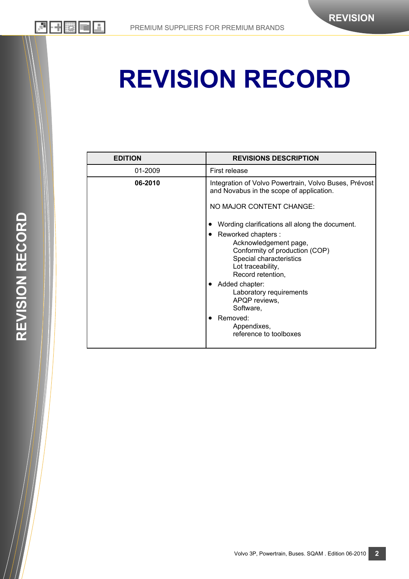# **REVISION RECORD**

| <b>EDITION</b> | <b>REVISIONS DESCRIPTION</b>                                                                                                                                     |  |
|----------------|------------------------------------------------------------------------------------------------------------------------------------------------------------------|--|
| 01-2009        | First release                                                                                                                                                    |  |
| 06-2010        | Integration of Volvo Powertrain, Volvo Buses, Prévost<br>and Novabus in the scope of application.                                                                |  |
|                | NO MAJOR CONTENT CHANGE:                                                                                                                                         |  |
|                | Wording clarifications all along the document.                                                                                                                   |  |
|                | Reworked chapters :<br>$\bullet$<br>Acknowledgement page,<br>Conformity of production (COP)<br>Special characteristics<br>Lot traceability,<br>Record retention, |  |
|                | Added chapter:<br>Laboratory requirements<br>APQP reviews,<br>Software,                                                                                          |  |
|                | Removed:<br>Appendixes,<br>reference to toolboxes                                                                                                                |  |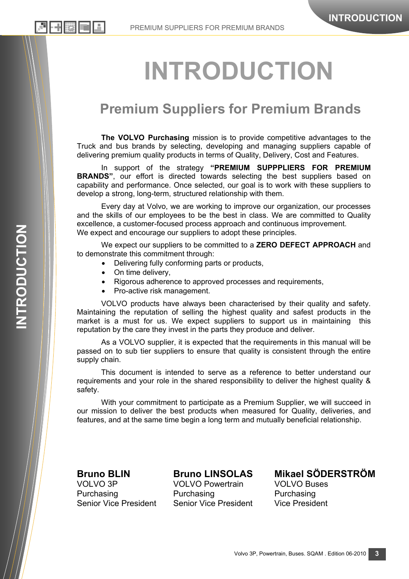# **INTRODUCTION**

# **Premium Suppliers for Premium Brands**

**The VOLVO Purchasing** mission is to provide competitive advantages to the Truck and bus brands by selecting, developing and managing suppliers capable of delivering premium quality products in terms of Quality, Delivery, Cost and Features.

In support of the strategy **"PREMIUM SUPPPLIERS FOR PREMIUM BRANDS"**, our effort is directed towards selecting the best suppliers based on capability and performance. Once selected, our goal is to work with these suppliers to develop a strong, long-term, structured relationship with them.

Every day at Volvo, we are working to improve our organization, our processes and the skills of our employees to be the best in class. We are committed to Quality excellence, a customer-focused process approach and continuous improvement. We expect and encourage our suppliers to adopt these principles.

We expect our suppliers to be committed to a **ZERO DEFECT APPROACH** and to demonstrate this commitment through:

- Delivering fully conforming parts or products,
- On time delivery,
- Rigorous adherence to approved processes and requirements,
- Pro-active risk management.

VOLVO products have always been characterised by their quality and safety. Maintaining the reputation of selling the highest quality and safest products in the market is a must for us. We expect suppliers to support us in maintaining this reputation by the care they invest in the parts they produce and deliver.

As a VOLVO supplier, it is expected that the requirements in this manual will be passed on to sub tier suppliers to ensure that quality is consistent through the entire supply chain.

This document is intended to serve as a reference to better understand our requirements and your role in the shared responsibility to deliver the highest quality & safety.

With your commitment to participate as a Premium Supplier, we will succeed in our mission to deliver the best products when measured for Quality, deliveries, and features, and at the same time begin a long term and mutually beneficial relationship.

VOLVO 3P VOLVO Powertrain VOLVO Buses Purchasing Purchasing Purchasing Purchasing Senior Vice President Senior Vice President Vice President

**Bruno BLIN Bruno LINSOLAS Mikael SÖDERSTRÖM** 

리베縣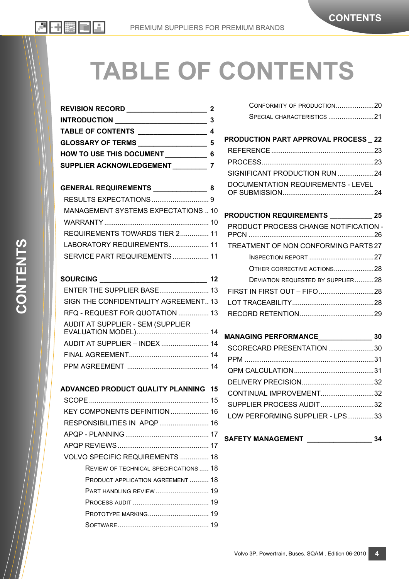# **TABLE OF CONTENTS**

| <b>REVISION RECORD</b>          |  |
|---------------------------------|--|
| <b>INTRODUCTION</b>             |  |
| <b>TABLE OF CONTENTS</b>        |  |
| <b>GLOSSARY OF TERMS</b>        |  |
| <b>HOW TO USE THIS DOCUMENT</b> |  |
| <b>SUPPLIER ACKNOWLEDGEMENT</b> |  |

| GENERAL REQUIREMENTS _________________ 8 |  |
|------------------------------------------|--|
|                                          |  |
| MANAGEMENT SYSTEMS EXPECTATIONS  10      |  |
|                                          |  |
| REQUIREMENTS TOWARDS TIER 2 11           |  |
| LABORATORY REQUIREMENTS 11               |  |
| SERVICE PART REQUIREMENTS 11             |  |
|                                          |  |

## **SOURCING \_\_\_\_\_\_\_\_\_\_\_\_\_\_\_\_\_\_\_\_\_\_\_\_\_\_\_\_ 12**

| SIGN THE CONFIDENTIALITY AGREEMENT 13 |  |
|---------------------------------------|--|
| RFQ - REQUEST FOR QUOTATION  13       |  |
| AUDIT AT SUPPLIER - SEM (SUPPLIER     |  |
|                                       |  |
| AUDIT AT SUPPLIER - INDEX  14         |  |
|                                       |  |
|                                       |  |

#### **ADVANCED PRODUCT QUALITY PLANNING 15**

| KEY COMPONENTS DEFINITION  16                |
|----------------------------------------------|
| RESPONSIBILITIES IN APQP 16                  |
|                                              |
|                                              |
| VOLVO SPECIFIC REQUIREMENTS  18              |
| <b>REVIEW OF TECHNICAL SPECIFICATIONS 18</b> |
| <b>PRODUCT APPLICATION AGREEMENT  18</b>     |
| PART HANDLING REVIEW  19                     |
|                                              |
| PROTOTYPE MARKING 19                         |
|                                              |

| CONFORMITY OF PRODUCTION20 |  |
|----------------------------|--|
| SPECIAL CHARACTERISTICS 21 |  |

| <b>PRODUCTION PART APPROVAL PROCESS _22</b> |  |
|---------------------------------------------|--|
|                                             |  |
|                                             |  |
| SIGNIFICANT PRODUCTION RUN 24               |  |
| DOCUMENTATION REQUIREMENTS - LEVEL          |  |

### **PRODUCTION REQUIREMENTS \_\_\_\_\_\_\_\_\_\_\_ 25**

| PRODUCT PROCESS CHANGE NOTIFICATION - |  |
|---------------------------------------|--|
| TREATMENT OF NON CONFORMING PARTS 27  |  |
|                                       |  |
| OTHER CORRECTIVE ACTIONS28            |  |
| DEVIATION REQUESTED BY SUPPLIER28     |  |
|                                       |  |
|                                       |  |
|                                       |  |
|                                       |  |

## **MANAGING PERFORMANCE\_\_\_\_\_\_\_\_\_\_\_\_\_\_ 30**

| SCORECARD PRESENTATION 30       |  |
|---------------------------------|--|
|                                 |  |
|                                 |  |
|                                 |  |
| CONTINUAL IMPROVEMENT32         |  |
| SUPPLIER PROCESS AUDIT32        |  |
| LOW PERFORMING SUPPLIER - LPS33 |  |

#### **SAFETY MANAGEMENT \_\_\_\_\_\_\_\_\_\_\_\_\_\_\_\_\_ 34**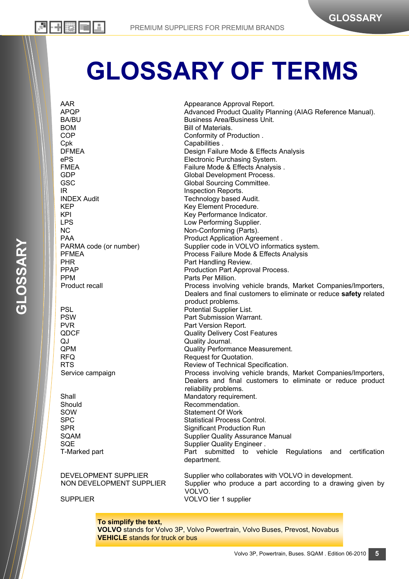# **GLOSSARY OF TERMS**

AAR Appearance Approval Report. APQP **Advanced Product Quality Planning (AIAG Reference Manual).** And a Advanced Product Quality Planning (AIAG Reference Manual). BA/BU Business Area/Business Unit. BOM BILL OF BILL Of Materials. COP Conformity of Production . Cpk Capabilities . DFMEA DESign Failure Mode & Effects Analysis ePS Electronic Purchasing System. FMEA FINEA GDP Global Development Process. GSC GSC Global Sourcing Committee. IR IN Inspection Reports. **INDEX Audit Contract Contract Contract Contract Contract Contract Contract Contract Contract Contract Contract Contract Contract Contract Contract Contract Contract Contract Contract Contract Contract Contract Contract Co** KEP Key Element Procedure. KPI Key Performance Indicator.<br>
Low Performing Supplier. Low Performing Supplier. NC Non-Conforming (Parts). PAA PRA Product Application Agreement . PARMA code (or number) Supplier code in VOLVO informatics system. PFMEA Process Failure Mode & Effects Analysis PHR PHR PARE PART PART PART PROPERTY PRACTED PRODUCTION PART ADDITION Production Part Approval Process. PPM Parts Per Million. Product recall Process involving vehicle brands, Market Companies/Importers, Dealers and final customers to eliminate or reduce **safety** related product problems. PSL PSL POtential Supplier List. PSW Part Submission Warrant. PVR PVR PART PORT PART Version Report. QDCF Quality Delivery Cost Features QJ Quality Journal. QPM Quality Performance Measurement. RFQ Request for Quotation. RTS Review of Technical Specification. Service campaign **Process involving vehicle brands, Market Companies/Importers,** Dealers and final customers to eliminate or reduce product reliability problems. Shall Mandatory requirement. Should Recommendation.<br>
Sow Statement Of Work Statement Of Work SPC SPC Statistical Process Control.<br>Significant Production Run Significant Production Run SQAM SUPPLIER SUPPLIER QUALITY Assurance Manual SQE SQE Supplier Quality Engineer . T-Marked part Part submitted to vehicle Regulations and certification department. DEVELOPMENT SUPPLIER Supplier who collaborates with VOLVO in development. NON DEVELOPMENT SUPPLIER Supplier who produce a part according to a drawing given by VOLVO. SUPPLIER VOLVO tier 1 supplier

**To simplify the text,** 

**VOLVO** stands for Volvo 3P, Volvo Powertrain, Volvo Buses, Prevost, Novabus **VEHICLE** stands for truck or bus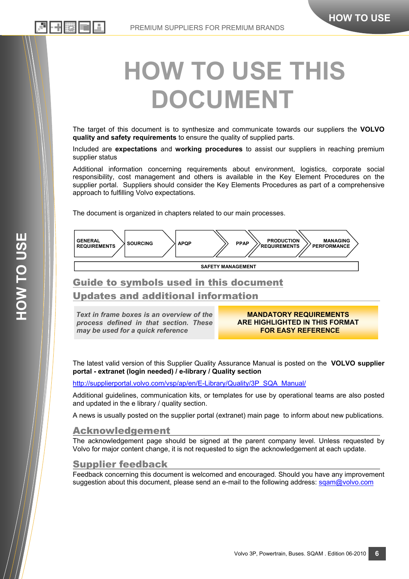# 上出脚

# **HOW TO USE THIS DOCUMENT**

The target of this document is to synthesize and communicate towards our suppliers the **VOLVO quality and safety requirements** to ensure the quality of supplied parts.

Included are **expectations** and **working procedures** to assist our suppliers in reaching premium supplier status

Additional information concerning requirements about environment, logistics, corporate social responsibility, cost management and others is available in the Key Element Procedures on the supplier portal. Suppliers should consider the Key Elements Procedures as part of a comprehensive approach to fulfilling Volvo expectations.

The document is organized in chapters related to our main processes.



# Guide to symbols used in this document Updates and additional information

*Text in frame boxes is an overview of the process defined in that section. These may be used for a quick reference* 

**MANDATORY REQUIREMENTS ARE HIGHLIGHTED IN THIS FORMAT FOR EASY REFERENCE** 

The latest valid version of this Supplier Quality Assurance Manual is posted on the **VOLVO supplier portal - extranet (login needed) / e-library / Quality section** 

http://supplierportal.volvo.com/vsp/ap/en/E-Library/Quality/3P\_SQA\_Manual/

Additional guidelines, communication kits, or templates for use by operational teams are also posted and updated in the e library / quality section.

A news is usually posted on the supplier portal (extranet) main page to inform about new publications.

### Acknowledgement

The acknowledgement page should be signed at the parent company level. Unless requested by Volvo for major content change, it is not requested to sign the acknowledgement at each update.

### Supplier feedback

Feedback concerning this document is welcomed and encouraged. Should you have any improvement suggestion about this document, please send an e-mail to the following address: sgam@volvo.com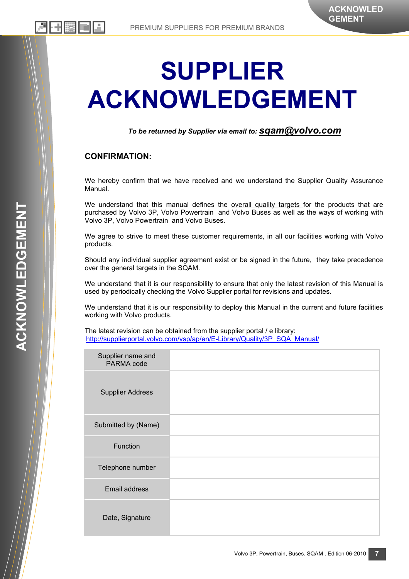# **SUPPLIER ACKNOWLEDGEMENT**

*To be returned by Supplier via email to: sqam@volvo.com*

#### **CONFIRMATION:**

We hereby confirm that we have received and we understand the Supplier Quality Assurance Manual.

We understand that this manual defines the overall quality targets for the products that are purchased by Volvo 3P, Volvo Powertrain and Volvo Buses as well as the ways of working with Volvo 3P, Volvo Powertrain and Volvo Buses.

We agree to strive to meet these customer requirements, in all our facilities working with Volvo products.

Should any individual supplier agreement exist or be signed in the future, they take precedence over the general targets in the SQAM.

We understand that it is our responsibility to ensure that only the latest revision of this Manual is used by periodically checking the Volvo Supplier portal for revisions and updates.

We understand that it is our responsibility to deploy this Manual in the current and future facilities working with Volvo products.

The latest revision can be obtained from the supplier portal / e library: http://supplierportal.volvo.com/vsp/ap/en/E-Library/Quality/3P\_SQA\_Manual/

| Supplier name and<br>PARMA code |  |
|---------------------------------|--|
| <b>Supplier Address</b>         |  |
| Submitted by (Name)             |  |
| Function                        |  |
| Telephone number                |  |
| Email address                   |  |
| Date, Signature                 |  |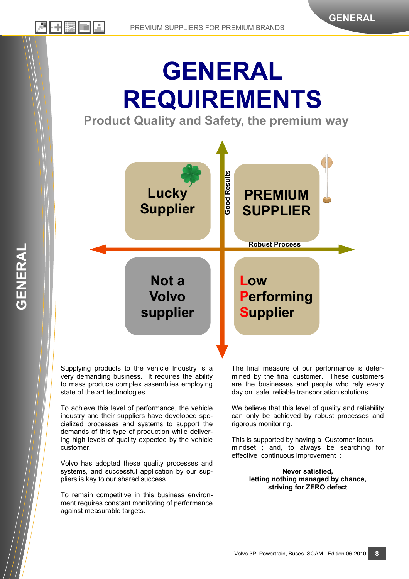# **GENERAL REQUIREMENTS**

**Product Quality and Safety, the premium way** 



Supplying products to the vehicle Industry is a very demanding business. It requires the ability to mass produce complex assemblies employing state of the art technologies.

To achieve this level of performance, the vehicle industry and their suppliers have developed specialized processes and systems to support the demands of this type of production while delivering high levels of quality expected by the vehicle customer.

Volvo has adopted these quality processes and systems, and successful application by our suppliers is key to our shared success.

To remain competitive in this business environment requires constant monitoring of performance against measurable targets.

The final measure of our performance is determined by the final customer. These customers are the businesses and people who rely every day on safe, reliable transportation solutions.

We believe that this level of quality and reliability can only be achieved by robust processes and rigorous monitoring.

This is supported by having a Customer focus mindset ; and, to always be searching for effective continuous improvement :

#### **Never satisfied, letting nothing managed by chance, striving for ZERO defect**

**GENERAL** 

GENERAL

**8**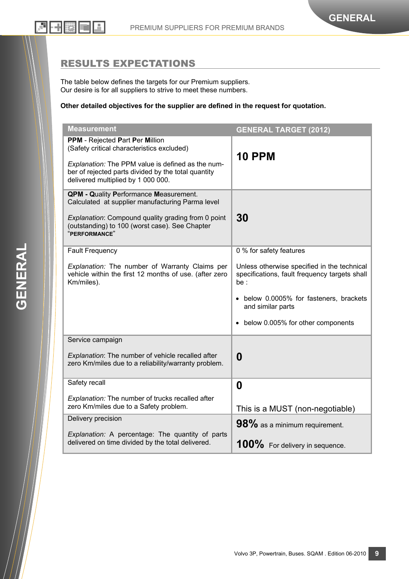## RESULTS EXPECTATIONS

The table below defines the targets for our Premium suppliers. Our desire is for all suppliers to strive to meet these numbers.

#### **Other detailed objectives for the supplier are defined in the request for quotation.**

| <b>Measurement</b>                                                                                                                                                                                                              | <b>GENERAL TARGET (2012)</b>                                                                        |  |
|---------------------------------------------------------------------------------------------------------------------------------------------------------------------------------------------------------------------------------|-----------------------------------------------------------------------------------------------------|--|
| PPM - Rejected Part Per Million<br>(Safety critical characteristics excluded)<br>Explanation: The PPM value is defined as the num-<br>ber of rejected parts divided by the total quantity<br>delivered multiplied by 1 000 000. | <b>10 PPM</b>                                                                                       |  |
| <b>QPM - Quality Performance Measurement.</b><br>Calculated at supplier manufacturing Parma level<br>Explanation: Compound quality grading from 0 point<br>(outstanding) to 100 (worst case). See Chapter<br>"PERFORMANCE"      | 30                                                                                                  |  |
| <b>Fault Frequency</b>                                                                                                                                                                                                          | 0 % for safety features                                                                             |  |
| Explanation: The number of Warranty Claims per<br>vehicle within the first 12 months of use. (after zero<br>Km/miles).                                                                                                          | Unless otherwise specified in the technical<br>specifications, fault frequency targets shall<br>be: |  |
|                                                                                                                                                                                                                                 | • below 0.0005% for fasteners, brackets<br>and similar parts                                        |  |
|                                                                                                                                                                                                                                 | • below 0.005% for other components                                                                 |  |
| Service campaign                                                                                                                                                                                                                |                                                                                                     |  |
| Explanation: The number of vehicle recalled after<br>zero Km/miles due to a reliability/warranty problem.                                                                                                                       | $\bf{0}$                                                                                            |  |
| Safety recall                                                                                                                                                                                                                   | $\boldsymbol{0}$                                                                                    |  |
| Explanation: The number of trucks recalled after<br>zero Km/miles due to a Safety problem.                                                                                                                                      | This is a MUST (non-negotiable)                                                                     |  |
| Delivery precision                                                                                                                                                                                                              | $98\%$ as a minimum requirement.                                                                    |  |
| Explanation: A percentage: The quantity of parts<br>delivered on time divided by the total delivered.                                                                                                                           | 100% For delivery in sequence.                                                                      |  |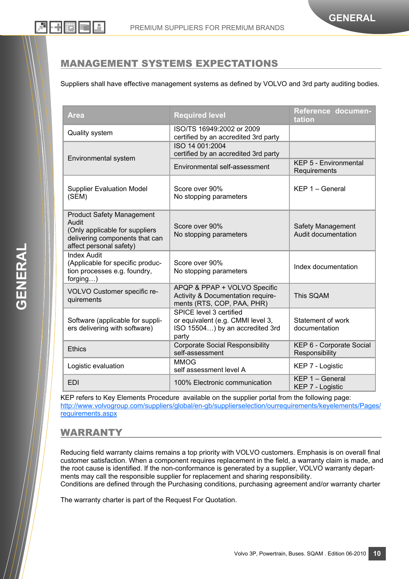## MANAGEMENT SYSTEMS EXPECTATIONS

Suppliers shall have effective management systems as defined by VOLVO and 3rd party auditing bodies.

| <b>Area</b>                                                                                                                              | <b>Required level</b>                                                                                    | Reference documen-<br>tation                 |
|------------------------------------------------------------------------------------------------------------------------------------------|----------------------------------------------------------------------------------------------------------|----------------------------------------------|
| <b>Quality system</b>                                                                                                                    | ISO/TS 16949:2002 or 2009<br>certified by an accredited 3rd party                                        |                                              |
| Environmental system                                                                                                                     | ISO 14 001:2004<br>certified by an accredited 3rd party                                                  |                                              |
|                                                                                                                                          | Environmental self-assessment                                                                            | <b>KEP 5 - Environmental</b><br>Requirements |
| <b>Supplier Evaluation Model</b><br>(SEM)                                                                                                | Score over 90%<br>No stopping parameters                                                                 | $KEP 1 - General$                            |
| <b>Product Safety Management</b><br>Audit<br>(Only applicable for suppliers<br>delivering components that can<br>affect personal safety) | Score over 90%<br>No stopping parameters                                                                 | Safety Management<br>Audit documentation     |
| <b>Index Audit</b><br>(Applicable for specific produc-<br>tion processes e.g. foundry,<br>forging)                                       | Score over 90%<br>No stopping parameters                                                                 | Index documentation                          |
| VOLVO Customer specific re-<br>quirements                                                                                                | APQP & PPAP + VOLVO Specific<br>Activity & Documentation require-<br>ments (RTS, COP, PAA, PHR)          | This SQAM                                    |
| Software (applicable for suppli-<br>ers delivering with software)                                                                        | SPICE level 3 certified<br>or equivalent (e.g. CMMI level 3,<br>ISO 15504) by an accredited 3rd<br>party | Statement of work<br>documentation           |
| <b>Ethics</b>                                                                                                                            | <b>Corporate Social Responsibility</b><br>self-assessment                                                | KEP 6 - Corporate Social<br>Responsibility   |
| Logistic evaluation                                                                                                                      | <b>MMOG</b><br>self assessment level A                                                                   | KEP 7 - Logistic                             |
| <b>EDI</b>                                                                                                                               | 100% Electronic communication                                                                            | KEP 1 - General<br>KEP 7 - Logistic          |

KEP refers to Key Elements Procedure available on the supplier portal from the following page: http://www.volvogroup.com/suppliers/global/en-gb/supplierselection/ourrequirements/keyelements/Pages/ requirements.aspx

### WARRANTY

Reducing field warranty claims remains a top priority with VOLVO customers. Emphasis is on overall final customer satisfaction. When a component requires replacement in the field, a warranty claim is made, and the root cause is identified. If the non-conformance is generated by a supplier, VOLVO warranty departments may call the responsible supplier for replacement and sharing responsibility. Conditions are defined through the Purchasing conditions, purchasing agreement and/or warranty charter

The warranty charter is part of the Request For Quotation.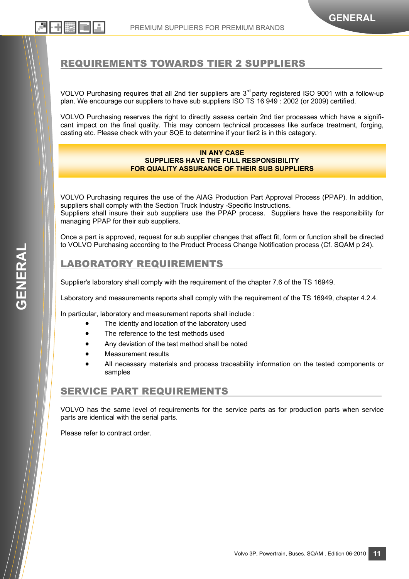## REQUIREMENTS TOWARDS TIER 2 SUPPLIERS

VOLVO Purchasing requires that all 2nd tier suppliers are 3<sup>rd</sup> party registered ISO 9001 with a follow-up plan. We encourage our suppliers to have sub suppliers ISO TS 16 949 : 2002 (or 2009) certified.

VOLVO Purchasing reserves the right to directly assess certain 2nd tier processes which have a significant impact on the final quality. This may concern technical processes like surface treatment, forging, casting etc. Please check with your SQE to determine if your tier2 is in this category.

#### **IN ANY CASE SUPPLIERS HAVE THE FULL RESPONSIBILITY FOR QUALITY ASSURANCE OF THEIR SUB SUPPLIERS**

VOLVO Purchasing requires the use of the AIAG Production Part Approval Process (PPAP). In addition, suppliers shall comply with the Section Truck Industry -Specific Instructions. Suppliers shall insure their sub suppliers use the PPAP process. Suppliers have the responsibility for managing PPAP for their sub suppliers.

Once a part is approved, request for sub supplier changes that affect fit, form or function shall be directed to VOLVO Purchasing according to the Product Process Change Notification process (Cf. SQAM p 24).

#### LABORATORY REQUIREMENTS

Supplier's laboratory shall comply with the requirement of the chapter 7.6 of the TS 16949.

Laboratory and measurements reports shall comply with the requirement of the TS 16949, chapter 4.2.4.

In particular, laboratory and measurement reports shall include :

- The identty and location of the laboratory used
	- The reference to the test methods used
- Any deviation of the test method shall be noted
- Measurement results
- All necessary materials and process traceability information on the tested components or samples

### SERVICE PART REQUIREMENTS

VOLVO has the same level of requirements for the service parts as for production parts when service parts are identical with the serial parts.

Please refer to contract order.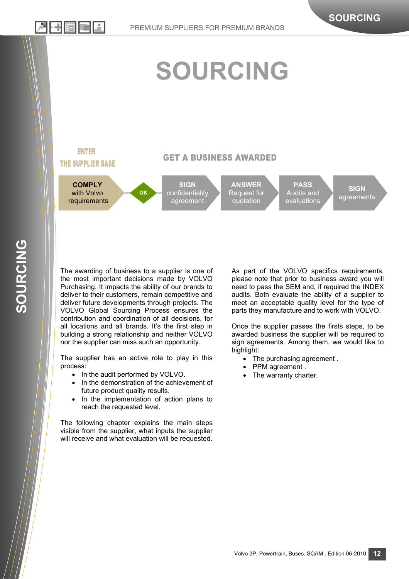기 레溪 画

# **SOURCING**

#### **ENTER THE SUPPLIER BASE**

#### **GET A BUSINESS AWARDED**



The awarding of business to a supplier is one of the most important decisions made by VOLVO Purchasing. It impacts the ability of our brands to deliver to their customers, remain competitive and deliver future developments through projects. The VOLVO Global Sourcing Process ensures the contribution and coordination of all decisions, for all locations and all brands. It's the first step in building a strong relationship and neither VOLVO nor the supplier can miss such an opportunity.

The supplier has an active role to play in this process:

- In the audit performed by VOLVO.
- In the demonstration of the achievement of future product quality results.
- In the implementation of action plans to reach the requested level.

The following chapter explains the main steps visible from the supplier, what inputs the supplier will receive and what evaluation will be requested. As part of the VOLVO specifics requirements, please note that prior to business award you will need to pass the SEM and, if required the INDEX audits. Both evaluate the ability of a supplier to meet an acceptable quality level for the type of parts they manufacture and to work with VOLVO.

Once the supplier passes the firsts steps, to be awarded business the supplier will be required to sign agreements. Among them, we would like to highlight:

- The purchasing agreement.
- PPM agreement.
- The warranty charter.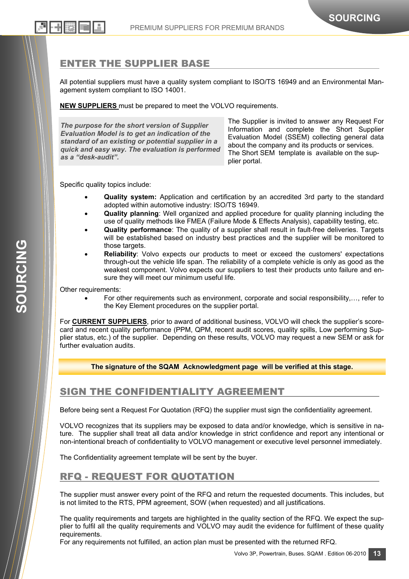## ENTER THE SUPPLIER BASE

All potential suppliers must have a quality system compliant to ISO/TS 16949 and an Environmental Management system compliant to ISO 14001.

**NEW SUPPLIERS** must be prepared to meet the VOLVO requirements.

*The purpose for the short version of Supplier Evaluation Model is to get an indication of the standard of an existing or potential supplier in a quick and easy way. The evaluation is performed as a "desk-audit".*

The Supplier is invited to answer any Request For Information and complete the Short Supplier Evaluation Model (SSEM) collecting general data about the company and its products or services. The Short SEM template is available on the supplier portal.

Specific quality topics include:

- **Quality system:** Application and certification by an accredited 3rd party to the standard adopted within automotive industry: ISO/TS 16949.
- **Quality planning**: Well organized and applied procedure for quality planning including the use of quality methods like FMEA (Failure Mode & Effects Analysis), capability testing, etc.
- **Quality performance**: The quality of a supplier shall result in fault-free deliveries. Targets will be established based on industry best practices and the supplier will be monitored to those targets.
- **Reliability**: Volvo expects our products to meet or exceed the customers' expectations through-out the vehicle life span. The reliability of a complete vehicle is only as good as the weakest component. Volvo expects our suppliers to test their products unto failure and ensure they will meet our minimum useful life.

Other requirements:

• For other requirements such as environment, corporate and social responsibility,…, refer to the Key Element procedures on the supplier portal.

For **CURRENT SUPPLIERS**, prior to award of additional business, VOLVO will check the supplier's scorecard and recent quality performance (PPM, QPM, recent audit scores, quality spills, Low performing Supplier status, etc.) of the supplier. Depending on these results, VOLVO may request a new SEM or ask for further evaluation audits.

**The signature of the SQAM Acknowledgment page will be verified at this stage.** 

## SIGN THE CONFIDENTIALITY AGREEMENT

Before being sent a Request For Quotation (RFQ) the supplier must sign the confidentiality agreement.

VOLVO recognizes that its suppliers may be exposed to data and/or knowledge, which is sensitive in nature. The supplier shall treat all data and/or knowledge in strict confidence and report any intentional or non-intentional breach of confidentiality to VOLVO management or executive level personnel immediately.

The Confidentiality agreement template will be sent by the buyer.

## RFQ - REQUEST FOR QUOTATION

The supplier must answer every point of the RFQ and return the requested documents. This includes, but is not limited to the RTS, PPM agreement, SOW (when requested) and all justifications.

The quality requirements and targets are highlighted in the quality section of the RFQ. We expect the supplier to fulfil all the quality requirements and VOLVO may audit the evidence for fulfilment of these quality requirements.

For any requirements not fulfilled, an action plan must be presented with the returned RFQ.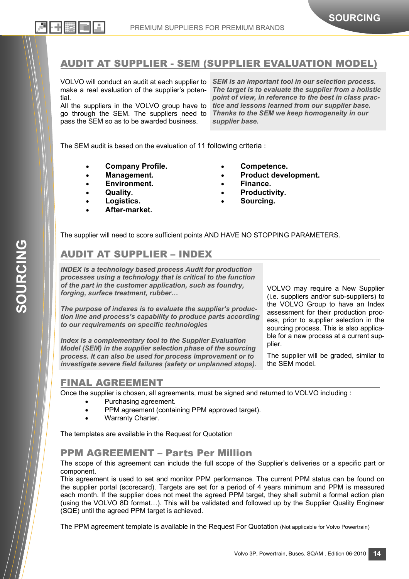**SOURCING** 

SOURCING

VOLVO will conduct an audit at each supplier to make a real evaluation of the supplier's potential.

All the suppliers in the VOLVO group have to go through the SEM. The suppliers need to pass the SEM so as to be awarded business.

*SEM is an important tool in our selection process. The target is to evaluate the supplier from a holistic point of view, in reference to the best in class practice and lessons learned from our supplier base. Thanks to the SEM we keep homogeneity in our supplier base.* 

**SOURCING** 

The SEM audit is based on the evaluation of 11 following criteria :

- **Company Profile.**
- **Management.**
- **Environment.**
- **Quality.**
- **Logistics.**
- **After-market.**
- **Competence.**
- **Product development.**
- 
- **Finance.**
- **Productivity.**
- **Sourcing.**

The supplier will need to score sufficient points AND HAVE NO STOPPING PARAMETERS.

# AUDIT AT SUPPLIER – INDEX

*INDEX is a technology based process Audit for production processes using a technology that is critical to the function of the part in the customer application, such as foundry, forging, surface treatment, rubber…* 

*The purpose of indexes is to evaluate the supplier's production line and process's capability to produce parts according to our requirements on specific technologies* 

*Index is a complementary tool to the Supplier Evaluation Model (SEM) in the supplier selection phase of the sourcing process. It can also be used for process improvement or to investigate severe field failures (safety or unplanned stops).*  VOLVO may require a New Supplier (i.e. suppliers and/or sub-suppliers) to the VOLVO Group to have an Index assessment for their production process, prior to supplier selection in the sourcing process. This is also applicable for a new process at a current supplier.

The supplier will be graded, similar to the SEM model.

# FINAL AGREEMENT

Once the supplier is chosen, all agreements, must be signed and returned to VOLVO including :

- Purchasing agreement.
- PPM agreement (containing PPM approved target).
- Warranty Charter.

The templates are available in the Request for Quotation

## PPM AGREEMENT – Parts Per Million

The scope of this agreement can include the full scope of the Supplier's deliveries or a specific part or component.

This agreement is used to set and monitor PPM performance. The current PPM status can be found on the supplier portal (scorecard). Targets are set for a period of 4 years minimum and PPM is measured each month. If the supplier does not meet the agreed PPM target, they shall submit a formal action plan (using the VOLVO 8D format…). This will be validated and followed up by the Supplier Quality Engineer (SQE) until the agreed PPM target is achieved.

The PPM agreement template is available in the Request For Quotation (Not applicable for Volvo Powertrain)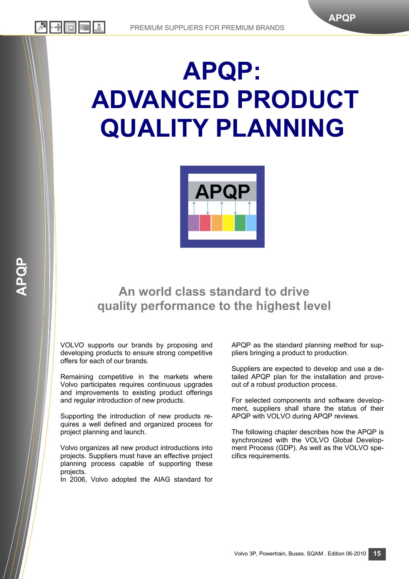# **APQP: ADVANCED PRODUCT QUALITY PLANNING**



# **An world class standard to drive quality performance to the highest level**

VOLVO supports our brands by proposing and developing products to ensure strong competitive offers for each of our brands.

Remaining competitive in the markets where Volvo participates requires continuous upgrades and improvements to existing product offerings and regular introduction of new products.

Supporting the introduction of new products requires a well defined and organized process for project planning and launch.

Volvo organizes all new product introductions into projects. Suppliers must have an effective project planning process capable of supporting these projects.

In 2006, Volvo adopted the AIAG standard for

APQP as the standard planning method for suppliers bringing a product to production.

**APQP** 

Suppliers are expected to develop and use a detailed APQP plan for the installation and proveout of a robust production process.

For selected components and software development, suppliers shall share the status of their APQP with VOLVO during APQP reviews.

The following chapter describes how the APQP is synchronized with the VOLVO Global Development Process (GDP). As well as the VOLVO specifics requirements.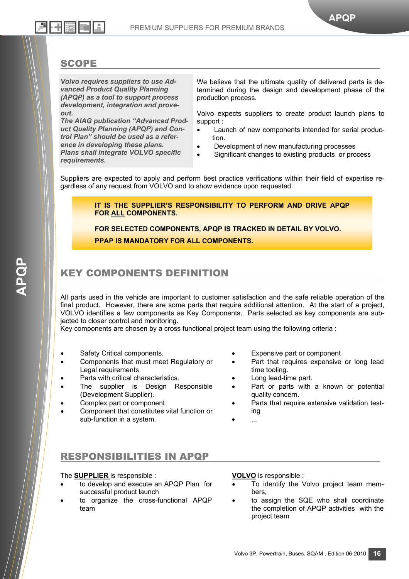### **SCOPE**

*Volvo requires suppliers to use Advanced Product Quality Planning (APQP) as a tool to support process development, integration and proveout.* 

*The AIAG publication "Advanced Product Quality Planning (APQP) and Control Plan" should be used as a reference in developing these plans. Plans shall integrate VOLVO specific requirements.* 

We believe that the ultimate quality of delivered parts is determined during the design and development phase of the production process.

Volvo expects suppliers to create product launch plans to support :

- Launch of new components intended for serial production.
- Development of new manufacturing processes
- Significant changes to existing products or process

Suppliers are expected to apply and perform best practice verifications within their field of expertise regardless of any request from VOLVO and to show evidence upon requested.

> **IT IS THE SUPPLIER'S RESPONSIBILITY TO PERFORM AND DRIVE APQP FOR ALL COMPONENTS.**

**FOR SELECTED COMPONENTS, APQP IS TRACKED IN DETAIL BY VOLVO. PPAP IS MANDATORY FOR ALL COMPONENTS.** 

## KEY COMPONENTS DEFINITION

All parts used in the vehicle are important to customer satisfaction and the safe reliable operation of the final product. However, there are some parts that require additional attention. At the start of a project, VOLVO identifies a few components as Key Components. Parts selected as key components are subjected to closer control and monitoring.

Key components are chosen by a cross functional project team using the following criteria :

- Safety Critical components.
- Components that must meet Regulatory or Legal requirements
- Parts with critical characteristics.
- The supplier is Design Responsible (Development Supplier).
- Complex part or component
- Component that constitutes vital function or sub-function in a system.
- Expensive part or component
- Part that requires expensive or long lead time tooling.
- Long lead-time part.
- Part or parts with a known or potential quality concern.
- Parts that require extensive validation testing
- ...

#### RESPONSIBILITIES IN APQP

#### The **SUPPLIER** is responsible :

- to develop and execute an APQP Plan for successful product launch
- to organize the cross-functional APQP team

**VOLVO** is responsible :

- To identify the Volvo project team members,
- to assign the SQE who shall coordinate the completion of APQP activities with the project team

**16**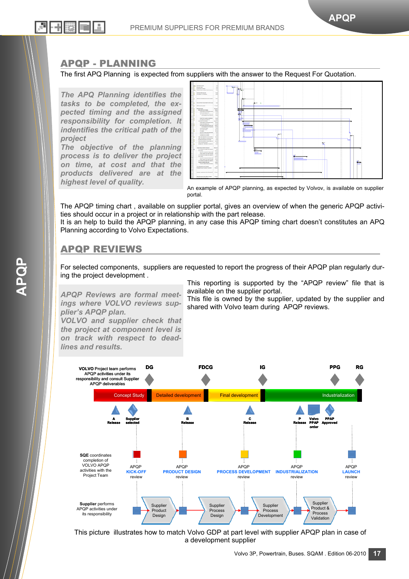#### APQP - PLANNING

The first APQ Planning is expected from suppliers with the answer to the Request For Quotation.

*The APQ Planning identifies the tasks to be completed, the expected timing and the assigned responsibility for completion. It indentifies the critical path of the project* 

*The objective of the planning process is to deliver the project on time, at cost and that the products delivered are at the highest level of quality.* 



An example of APQP planning, as expected by Volvov, is available on supplier portal.

The APQP timing chart , available on supplier portal, gives an overview of when the generic APQP activities should occur in a project or in relationship with the part release.

It is an help to build the APQP planning, in any case this APQP timing chart doesn't constitutes an APQ Planning according to Volvo Expectations.

### APQP REVIEWS

For selected components, suppliers are requested to report the progress of their APQP plan regularly during the project development .

*APQP Reviews are formal meetings where VOLVO reviews supplier's APQP plan.* 

*VOLVO and supplier check that the project at component level is on track with respect to deadlines and results.* 

This reporting is supported by the "APQP review" file that is available on the supplier portal.

This file is owned by the supplier, updated by the supplier and shared with Volvo team during APQP reviews.



This picture illustrates how to match Volvo GDP at part level with supplier APQP plan in case of a development supplier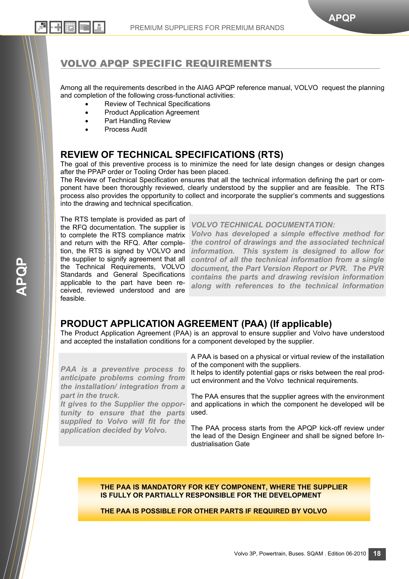# VOLVO APQP SPECIFIC REQUIREMENTS

Among all the requirements described in the AIAG APQP reference manual, VOLVO request the planning and completion of the following cross-functional activities:

- Review of Technical Specifications
- Product Application Agreement
- Part Handling Review
- Process Audit

리더 버렸는데

### **REVIEW OF TECHNICAL SPECIFICATIONS (RTS)**

The goal of this preventive process is to minimize the need for late design changes or design changes after the PPAP order or Tooling Order has been placed.

The Review of Technical Specification ensures that all the technical information defining the part or component have been thoroughly reviewed, clearly understood by the supplier and are feasible. The RTS process also provides the opportunity to collect and incorporate the supplier's comments and suggestions into the drawing and technical specification.

The RTS template is provided as part of the RFQ documentation. The supplier is to complete the RTS compliance matrix and return with the RFQ. After completion, the RTS is signed by VOLVO and the supplier to signify agreement that all the Technical Requirements, VOLVO Standards and General Specifications applicable to the part have been received, reviewed understood and are feasible.

*VOLVO TECHNICAL DOCUMENTATION:* 

*Volvo has developed a simple effective method for the control of drawings and the associated technical information. This system is designed to allow for control of all the technical information from a single document, the Part Version Report or PVR. The PVR contains the parts and drawing revision information along with references to the technical information* 

## **PRODUCT APPLICATION AGREEMENT (PAA) (If applicable)**

The Product Application Agreement (PAA) is an approval to ensure supplier and Volvo have understood and accepted the installation conditions for a component developed by the supplier.

*PAA is a preventive process to anticipate problems coming from the installation/ integration from a part in the truck.* 

*It gives to the Supplier the opportunity to ensure that the parts supplied to Volvo will fit for the application decided by Volvo.* 

A PAA is based on a physical or virtual review of the installation of the component with the suppliers.

It helps to identify potential gaps or risks between the real product environment and the Volvo technical requirements.

The PAA ensures that the supplier agrees with the environment and applications in which the component he developed will be used.

The PAA process starts from the APQP kick-off review under the lead of the Design Engineer and shall be signed before Industrialisation Gate

**THE PAA IS MANDATORY FOR KEY COMPONENT, WHERE THE SUPPLIER IS FULLY OR PARTIALLY RESPONSIBLE FOR THE DEVELOPMENT** 

**THE PAA IS POSSIBLE FOR OTHER PARTS IF REQUIRED BY VOLVO**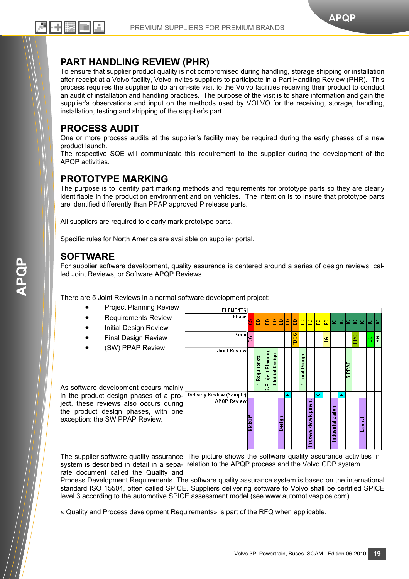## **PART HANDLING REVIEW (PHR)**

To ensure that supplier product quality is not compromised during handling, storage shipping or installation after receipt at a Volvo facility, Volvo invites suppliers to participate in a Part Handling Review (PHR). This process requires the supplier to do an on-site visit to the Volvo facilities receiving their product to conduct an audit of installation and handling practices. The purpose of the visit is to share information and gain the supplier's observations and input on the methods used by VOLVO for the receiving, storage, handling, installation, testing and shipping of the supplier's part.

### **PROCESS AUDIT**

24 E + [] [로] [드]

One or more process audits at the supplier's facility may be required during the early phases of a new product launch.

The respective SQE will communicate this requirement to the supplier during the development of the APQP activities.

## **PROTOTYPE MARKING**

The purpose is to identify part marking methods and requirements for prototype parts so they are clearly identifiable in the production environment and on vehicles. The intention is to insure that prototype parts are identified differently than PPAP approved P release parts.

All suppliers are required to clearly mark prototype parts.

Specific rules for North America are available on supplier portal.

### **SOFTWARE**

For supplier software development, quality assurance is centered around a series of design reviews, called Joint Reviews, or Software APQP Reviews.

There are 5 Joint Reviews in a normal software development project:

• Project Planning Review **ELEMENTS** Phase • Requirements Review g 윤 윤 윤 B å e 8 **Initial Design Review DCG** Gate • Final Design Review ق RC  $\overline{6}$ • (SW) PPAP Review **Joint Review** Project Planning 3-Initial Design Requirenets **LFinal Design** 5.PPAP As software development occurs mainly in the product design phases of a pro- Delivery Review (Sample) **APQP Review** ject, these reviews also occurs during development Industrialization the product design phases, with one KickOff exception: the SW PPAP Review. aunch Design <sup>1</sup>rocess

The supplier software quality assurance The picture shows the software quality assurance activities in system is described in detail in a sepa- relation to the APQP process and the Volvo GDP system. rate document called the Quality and

Process Development Requirements. The software quality assurance system is based on the international standard ISO 15504, often called SPICE. Suppliers delivering software to Volvo shall be certified SPICE level 3 according to the automotive SPICE assessment model (see www.automotivespice.com) .

« Quality and Process development Requirements» is part of the RFQ when applicable.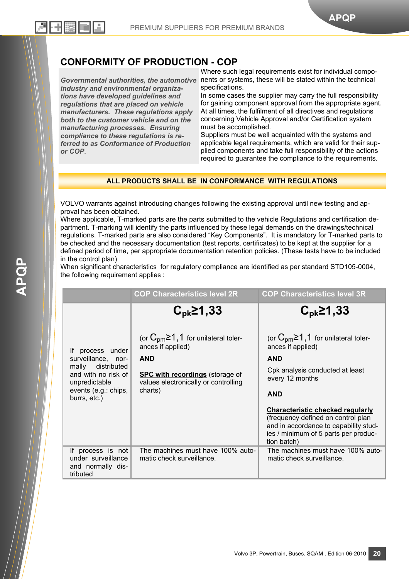## **CONFORMITY OF PRODUCTION - COP**

*Governmental authorities, the automotive industry and environmental organizations have developed guidelines and regulations that are placed on vehicle manufacturers. These regulations apply both to the customer vehicle and on the manufacturing processes. Ensuring compliance to these regulations is referred to as Conformance of Production or COP*.

一十 勝利

Where such legal requirements exist for individual components or systems, these will be stated within the technical specifications.

In some cases the supplier may carry the full responsibility for gaining component approval from the appropriate agent. At all times, the fulfilment of all directives and regulations concerning Vehicle Approval and/or Certification system must be accomplished.

Suppliers must be well acquainted with the systems and applicable legal requirements, which are valid for their supplied components and take full responsibility of the actions required to guarantee the compliance to the requirements.

#### **ALL PRODUCTS SHALL BE IN CONFORMANCE WITH REGULATIONS**

VOLVO warrants against introducing changes following the existing approval until new testing and approval has been obtained.

Where applicable, T-marked parts are the parts submitted to the vehicle Regulations and certification department. T-marking will identify the parts influenced by these legal demands on the drawings/technical regulations. T-marked parts are also considered "Key Components". It is mandatory for T-marked parts to be checked and the necessary documentation (test reports, certificates) to be kept at the supplier for a defined period of time, per appropriate documentation retention policies. (These tests have to be included in the control plan)

When significant characteristics for regulatory compliance are identified as per standard STD105-0004, the following requirement applies :

|                                                                          | <b>COP Characteristics level 2R</b>                                            | <b>COP Characteristics level 3R</b>                                                                                                                                           |
|--------------------------------------------------------------------------|--------------------------------------------------------------------------------|-------------------------------------------------------------------------------------------------------------------------------------------------------------------------------|
|                                                                          | $C_{\rm pk}$ 21,33                                                             | $C_{\rm pk}$ 21,33                                                                                                                                                            |
| If process under                                                         | (or $C_{pm} \ge 1, 1$ for unilateral toler-<br>ances if applied)               | (or $C_{\text{pm}} \ge 1, 1$ for unilateral toler-<br>ances if applied)                                                                                                       |
| surveillance, nor-                                                       | <b>AND</b>                                                                     | <b>AND</b>                                                                                                                                                                    |
| mally distributed<br>and with no risk of<br>unpredictable                | <b>SPC with recordings</b> (storage of<br>values electronically or controlling | Cpk analysis conducted at least<br>every 12 months                                                                                                                            |
| events (e.g.: chips,<br>burrs, etc.)                                     | charts)                                                                        | <b>AND</b>                                                                                                                                                                    |
|                                                                          |                                                                                | <b>Characteristic checked regularly</b><br>(frequency defined on control plan<br>and in accordance to capability stud-<br>ies / minimum of 5 parts per produc-<br>tion batch) |
| If process is not<br>under surveillance<br>and normally dis-<br>tributed | The machines must have 100% auto-<br>matic check surveillance.                 | The machines must have 100% auto-<br>matic check surveillance.                                                                                                                |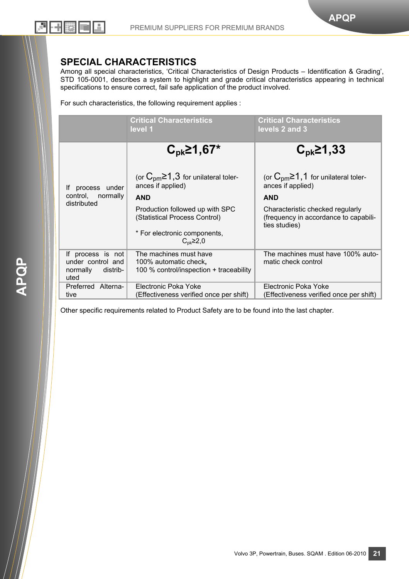### **SPECIAL CHARACTERISTICS**

Among all special characteristics, 'Critical Characteristics of Design Products – Identification & Grading', STD 105-0001, describes a system to highlight and grade critical characteristics appearing in technical specifications to ensure correct, fail safe application of the product involved.

For such characteristics, the following requirement applies :

|                                                                        | <b>Critical Characteristics</b><br>level 1                                                 | <b>Critical Characteristics</b><br>levels 2 and 3                                          |
|------------------------------------------------------------------------|--------------------------------------------------------------------------------------------|--------------------------------------------------------------------------------------------|
|                                                                        | $C_{\rm pk}$ 21,67*                                                                        | $C_{\rm pk}$ 21,33                                                                         |
| process<br>under<br>lf.                                                | (or $C_{pm} \ge 1.3$ for unilateral toler-<br>ances if applied)                            | (or $C_{pm} \ge 1, 1$ for unilateral toler-<br>ances if applied)                           |
| control,<br>normally                                                   | <b>AND</b>                                                                                 | <b>AND</b>                                                                                 |
| distributed                                                            | Production followed up with SPC<br>(Statistical Process Control)                           | Characteristic checked regularly<br>(frequency in accordance to capabili-<br>ties studies) |
|                                                                        | * For electronic components,<br>$C_{\rm pk}$ $\geq$ 2,0                                    |                                                                                            |
| If process is not<br>under control and<br>normally<br>distrib-<br>uted | The machines must have<br>100% automatic check,<br>100 % control/inspection + traceability | The machines must have 100% auto-<br>matic check control                                   |
| Preferred Alterna-<br>tive                                             | Electronic Poka Yoke<br>(Effectiveness verified once per shift)                            | Electronic Poka Yoke<br>(Effectiveness verified once per shift)                            |

Other specific requirements related to Product Safety are to be found into the last chapter.

Volvo 3P, Powertrain, Buses. SQAM . Edition 06-2010 **21**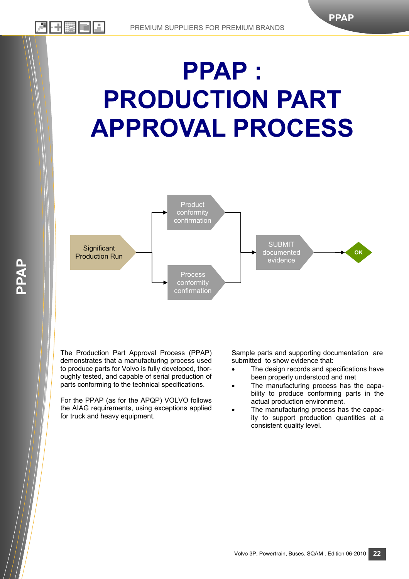# **PPAP : PRODUCTION PART APPROVAL PROCESS**



The Production Part Approval Process (PPAP) demonstrates that a manufacturing process used to produce parts for Volvo is fully developed, thoroughly tested, and capable of serial production of parts conforming to the technical specifications.

**PPAP** 

丹田勝

For the PPAP (as for the APQP) VOLVO follows the AIAG requirements, using exceptions applied for truck and heavy equipment.

Sample parts and supporting documentation are submitted to show evidence that:

**PPAP** 

- The design records and specifications have been properly understood and met
- The manufacturing process has the capability to produce conforming parts in the actual production environment.
- The manufacturing process has the capacity to support production quantities at a consistent quality level.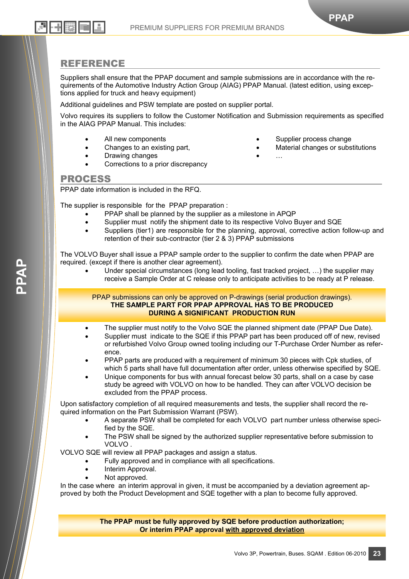#### REFERENCE

2H 카 (漢) [<del>4</del>]

Suppliers shall ensure that the PPAP document and sample submissions are in accordance with the requirements of the Automotive Industry Action Group (AIAG) PPAP Manual. (latest edition, using exceptions applied for truck and heavy equipment)

Additional guidelines and PSW template are posted on supplier portal.

Volvo requires its suppliers to follow the Customer Notification and Submission requirements as specified in the AIAG PPAP Manual. This includes:

- All new components
- Changes to an existing part.
- Drawing changes
- Corrections to a prior discrepancy
- Supplier process change
- Material changes or substitutions

**PPAP** 

• …

#### PROCESS

PPAP date information is included in the RFQ.

The supplier is responsible for the PPAP preparation :

- PPAP shall be planned by the supplier as a milestone in APQP
- Supplier must notify the shipment date to its respective Volvo Buyer and SQE
- Suppliers (tier1) are responsible for the planning, approval, corrective action follow-up and retention of their sub-contractor (tier 2 & 3) PPAP submissions

The VOLVO Buyer shall issue a PPAP sample order to the supplier to confirm the date when PPAP are required. (except if there is another clear agreement).

Under special circumstances (long lead tooling, fast tracked project, ...) the supplier may receive a Sample Order at C release only to anticipate activities to be ready at P release.

PPAP submissions can only be approved on P-drawings (serial production drawings). **THE SAMPLE PART FOR PPAP APPROVAL HAS TO BE PRODUCED DURING A SIGNIFICANT PRODUCTION RUN** 

- The supplier must notify to the Volvo SQE the planned shipment date (PPAP Due Date).
- Supplier must indicate to the SQE if this PPAP part has been produced off of new, revised or refurbished Volvo Group owned tooling including our T-Purchase Order Number as reference.
- PPAP parts are produced with a requirement of minimum 30 pieces with Cpk studies, of which 5 parts shall have full documentation after order, unless otherwise specified by SQE.
- Unique components for bus with annual forecast below 30 parts, shall on a case by case study be agreed with VOLVO on how to be handled. They can after VOLVO decision be excluded from the PPAP process.

Upon satisfactory completion of all required measurements and tests, the supplier shall record the required information on the Part Submission Warrant (PSW).

- A separate PSW shall be completed for each VOLVO part number unless otherwise specified by the SQE.
- The PSW shall be signed by the authorized supplier representative before submission to VOLVO .

VOLVO SQE will review all PPAP packages and assign a status.

- Fully approved and in compliance with all specifications.
- Interim Approval.
- Not approved.

In the case where an interim approval in given, it must be accompanied by a deviation agreement approved by both the Product Development and SQE together with a plan to become fully approved.

> **The PPAP must be fully approved by SQE before production authorization; Or interim PPAP approval with approved deviation**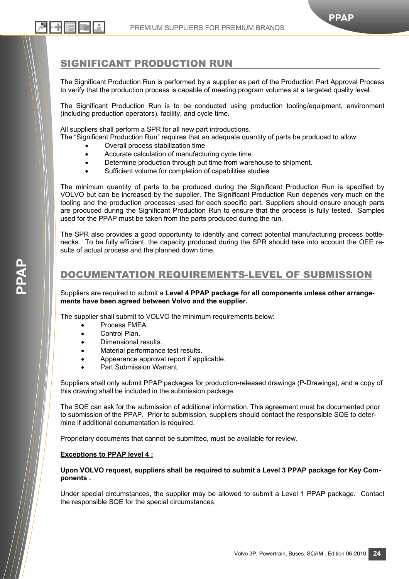**PPAP** 

## SIGNIFICANT PRODUCTION RUN

The Significant Production Run is performed by a supplier as part of the Production Part Approval Process to verify that the production process is capable of meeting program volumes at a targeted quality level.

The Significant Production Run is to be conducted using production tooling/equipment, environment (including production operators), facility, and cycle time.

All suppliers shall perform a SPR for all new part introductions.

The "Significant Production Run" requires that an adequate quantity of parts be produced to allow:

- Overall process stabilization time
- Accurate calculation of manufacturing cycle time
- Determine production through put time from warehouse to shipment.
- Sufficient volume for completion of capabilities studies

The minimum quantity of parts to be produced during the Significant Production Run is specified by VOLVO but can be increased by the supplier. The Significant Production Run depends very much on the tooling and the production processes used for each specific part. Suppliers should ensure enough parts are produced during the Significant Production Run to ensure that the process is fully tested. Samples used for the PPAP must be taken from the parts produced during the run.

The SPR also provides a good opportunity to identify and correct potential manufacturing process bottlenecks. To be fully efficient, the capacity produced during the SPR should take into account the OEE results of actual process and the planned down time.

### DOCUMENTATION REQUIREMENTS-LEVEL OF SUBMISSION

Suppliers are required to submit a **Level 4 PPAP package for all components unless other arrangements have been agreed between Volvo and the supplier.** 

The supplier shall submit to VOLVO the minimum requirements below:

- Process FMEA.
- Control Plan.
- Dimensional results.
- Material performance test results.
- Appearance approval report if applicable.
- Part Submission Warrant

Suppliers shall only submit PPAP packages for production-released drawings (P-Drawings), and a copy of this drawing shall be included in the submission package.

The SQE can ask for the submission of additional information. This agreement must be documented prior to submission of the PPAP. Prior to submission, suppliers should contact the responsible SQE to determine if additional documentation is required.

Proprietary documents that cannot be submitted, must be available for review.

#### **Exceptions to PPAP level 4 :**

**Upon VOLVO request, suppliers shall be required to submit a Level 3 PPAP package for Key Components .** 

Under special circumstances, the supplier may be allowed to submit a Level 1 PPAP package. Contact the responsible SQE for the special circumstances.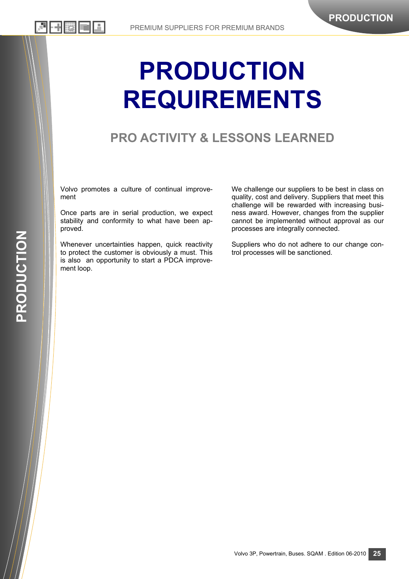# **PRODUCTION REQUIREMENTS**

# **PRO ACTIVITY & LESSONS LEARNED**

Volvo promotes a culture of continual improvement

Once parts are in serial production, we expect stability and conformity to what have been approved.

Whenever uncertainties happen, quick reactivity to protect the customer is obviously a must. This is also an opportunity to start a PDCA improvement loop.

We challenge our suppliers to be best in class on quality, cost and delivery. Suppliers that meet this challenge will be rewarded with increasing business award. However, changes from the supplier cannot be implemented without approval as our processes are integrally connected.

Suppliers who do not adhere to our change control processes will be sanctioned.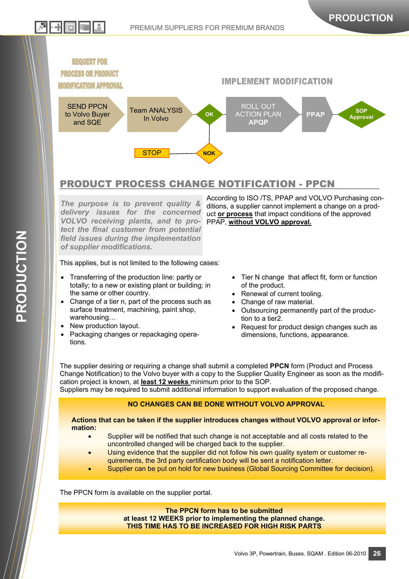

## PRODUCT PROCESS CHANGE NOTIFICATION - PPCN

*The purpose is to prevent quality & delivery issues for the concerned VOLVO receiving plants, and to protect the final customer from potential field issues during the implementation of supplier modifications.* 

This applies, but is not limited to the following cases:

- Transferring of the production line: partly or totally; to a new or existing plant or building; in the same or other country.
- Change of a tier n, part of the process such as surface treatment, machining, paint shop, warehousing…
- New production layout.
- Packaging changes or repackaging operations.

According to ISO /TS, PPAP and VOLVO Purchasing conditions, a supplier cannot implement a change on a product **or process** that impact conditions of the approved PPAP, **without VOLVO approval.**

- Tier N change that affect fit, form or function of the product.
- Renewal of current tooling.
- Change of raw material.
- Outsourcing permanently part of the production to a tier2.
- Request for product design changes such as dimensions, functions, appearance.

The supplier desiring or requiring a change shall submit a completed **PPCN** form (Product and Process Change Notification) to the Volvo buyer with a copy to the Supplier Quality Engineer as soon as the modification project is known, at **least 12 weeks** minimum prior to the SOP.

Suppliers may be required to submit additional information to support evaluation of the proposed change.

#### **NO CHANGES CAN BE DONE WITHOUT VOLVO APPROVAL**

**Actions that can be taken if the supplier introduces changes without VOLVO approval or information:** 

- Supplier will be notified that such change is not acceptable and all costs related to the uncontrolled changed will be charged back to the supplier.
- Using evidence that the supplier did not follow his own quality system or customer requirements, the 3rd party certification body will be sent a notification letter.
- Supplier can be put on hold for new business (Global Sourcing Committee for decision).

The PPCN form is available on the supplier portal.

**The PPCN form has to be submitted at least 12 WEEKS prior to implementing the planned change. THIS TIME HAS TO BE INCREASED FOR HIGH RISK PARTS** 

기 버렸는데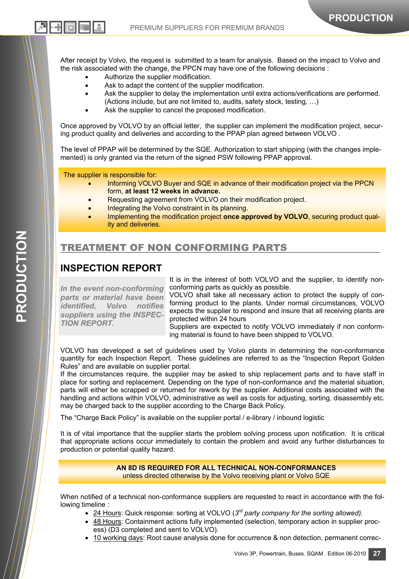After receipt by Volvo, the request is submitted to a team for analysis. Based on the impact to Volvo and the risk associated with the change, the PPCN may have one of the following decisions :

- Authorize the supplier modification.
- Ask to adapt the content of the supplier modification.
- Ask the supplier to delay the implementation until extra actions/verifications are performed. (Actions include, but are not limited to, audits, safety stock, testing, …)
- Ask the supplier to cancel the proposed modification.

Once approved by VOLVO by an official letter, the supplier can implement the modification project, securing product quality and deliveries and according to the PPAP plan agreed between VOLVO .

The level of PPAP will be determined by the SQE. Authorization to start shipping (with the changes implemented) is only granted via the return of the signed PSW following PPAP approval.

The supplier is responsible for:

2H 카(滋) 트바

- Informing VOLVO Buyer and SQE in advance of their modification project via the PPCN form, **at least 12 weeks in advance.**
- Requesting agreement from VOLVO on their modification project.
- Integrating the Volvo constraint in its planning.
- Implementing the modification project **once approved by VOLVO**, securing product quality and deliveries.

## TREATMENT OF NON CONFORMING PARTS

## **INSPECTION REPORT**

*In the event non-conforming parts or material have been identified, Volvo notifies suppliers using the INSPEC-TION REPORT.*

It is in the interest of both VOLVO and the supplier, to identify nonconforming parts as quickly as possible.

**PRODUCTION** 

VOLVO shall take all necessary action to protect the supply of conforming product to the plants. Under normal circumstances, VOLVO expects the supplier to respond and insure that all receiving plants are protected within 24 hours

Suppliers are expected to notify VOLVO immediately if non conforming material is found to have been shipped to VOLVO.

VOLVO has developed a set of guidelines used by Volvo plants in determining the non-conformance quantity for each Inspection Report. These guidelines are referred to as the "Inspection Report Golden Rules" and are available on supplier portal.

If the circumstances require, the supplier may be asked to ship replacement parts and to have staff in place for sorting and replacement. Depending on the type of non-conformance and the material situation, parts will either be scrapped or returned for rework by the supplier. Additional costs associated with the handling and actions within VOLVO, administrative as well as costs for adjusting, sorting, disassembly etc. may be charged back to the supplier according to the Charge Back Policy.

The "Charge Back Policy" is available on the supplier portal / e-library / inbound logistic

It is of vital importance that the supplier starts the problem solving process upon notification. It is critical that appropriate actions occur immediately to contain the problem and avoid any further disturbances to production or potential quality hazard.

#### **AN 8D IS REQUIRED FOR ALL TECHNICAL NON-CONFORMANCES**  unless directed otherwise by the Volvo receiving plant or Volvo SQE

When notified of a technical non-conformance suppliers are requested to react in accordance with the following timeline :

- 24 Hours: Quick response: sorting at VOLVO (*3rd party company for the sorting allowed).*
- 48 Hours: Containment actions fully implemented (selection, temporary action in supplier process) (D3 completed and sent to VOLVO).
- 10 working days: Root cause analysis done for occurrence & non detection, permanent correc-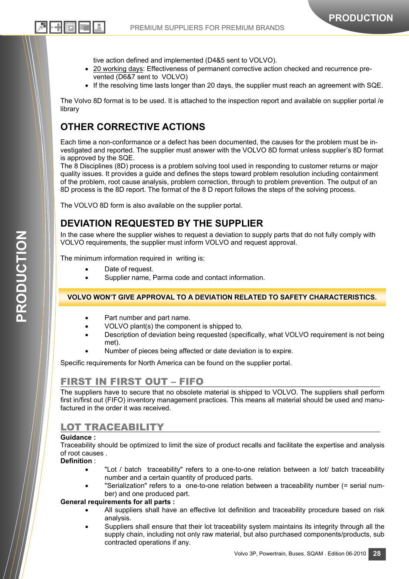tive action defined and implemented (D4&5 sent to VOLVO).

- 20 working days: Effectiveness of permanent corrective action checked and recurrence prevented (D6&7 sent to VOLVO)
- If the resolving time lasts longer than 20 days, the supplier must reach an agreement with SQE.

The Volvo 8D format is to be used. It is attached to the inspection report and available on supplier portal /e library

## **OTHER CORRECTIVE ACTIONS**

리 버固하다

Each time a non-conformance or a defect has been documented, the causes for the problem must be investigated and reported. The supplier must answer with the VOLVO 8D format unless supplier's 8D format is approved by the SQE.

The 8 Disciplines (8D) process is a problem solving tool used in responding to customer returns or major quality issues. It provides a guide and defines the steps toward problem resolution including containment of the problem, root cause analysis, problem correction, through to problem prevention. The output of an 8D process is the 8D report. The format of the 8 D report follows the steps of the solving process.

The VOLVO 8D form is also available on the supplier portal.

## **DEVIATION REQUESTED BY THE SUPPLIER**

In the case where the supplier wishes to request a deviation to supply parts that do not fully comply with VOLVO requirements, the supplier must inform VOLVO and request approval.

The minimum information required in writing is:

- Date of request.
- Supplier name, Parma code and contact information.

#### **VOLVO WON'T GIVE APPROVAL TO A DEVIATION RELATED TO SAFETY CHARACTERISTICS.**

- Part number and part name.
- VOLVO plant(s) the component is shipped to.
- Description of deviation being requested (specifically, what VOLVO requirement is not being met).
- Number of pieces being affected or date deviation is to expire.

Specific requirements for North America can be found on the supplier portal.

## FIRST IN FIRST OUT – FIFO

The suppliers have to secure that no obsolete material is shipped to VOLVO. The suppliers shall perform first in/first out (FIFO) inventory management practices. This means all material should be used and manufactured in the order it was received.

### LOT TRACEABILITY

#### **Guidance :**

Traceability should be optimized to limit the size of product recalls and facilitate the expertise and analysis of root causes .

#### **Definition** :

- "Lot / batch traceability" refers to a one-to-one relation between a lot/ batch traceability number and a certain quantity of produced parts.
- "Serialization" refers to a one-to-one relation between a traceability number (= serial number) and one produced part.

#### **General requirements for all parts :**

- All suppliers shall have an effective lot definition and traceability procedure based on risk analysis.
- Suppliers shall ensure that their lot traceability system maintains its integrity through all the supply chain, including not only raw material, but also purchased components/products, sub contracted operations if any.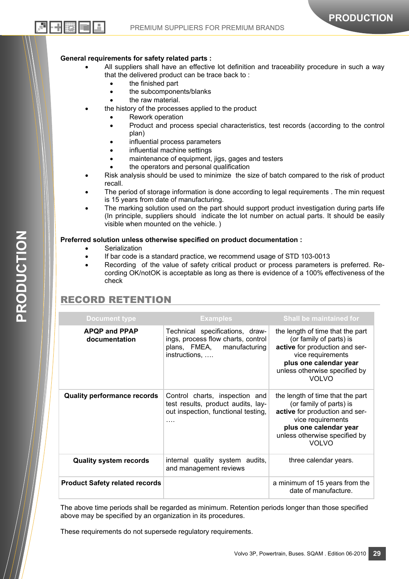#### **General requirements for safety related parts :**

- All suppliers shall have an effective lot definition and traceability procedure in such a way that the delivered product can be trace back to :
	- the finished part
	- the subcomponents/blanks
	- the raw material.
	- the history of the processes applied to the product
		- Rework operation
		- Product and process special characteristics, test records (according to the control plan)
		- influential process parameters
		- influential machine settings
		- maintenance of equipment, jigs, gages and testers
		- the operators and personal qualification
- Risk analysis should be used to minimize the size of batch compared to the risk of product recall.
- The period of storage information is done according to legal requirements . The min request is 15 years from date of manufacturing.
- The marking solution used on the part should support product investigation during parts life (In principle, suppliers should indicate the lot number on actual parts. It should be easily visible when mounted on the vehicle. )

#### **Preferred solution unless otherwise specified on product documentation :**

- **Serialization** 
	- If bar code is a standard practice, we recommend usage of STD 103-0013
	- Recording of the value of safety critical product or process parameters is preferred. Recording OK/notOK is acceptable as long as there is evidence of a 100% effectiveness of the check

## RECORD RETENTION

| <b>Document type</b>                  | <b>Examples</b>                                                                                                         | <b>Shall be maintained for</b>                                                                                                                                                                |
|---------------------------------------|-------------------------------------------------------------------------------------------------------------------------|-----------------------------------------------------------------------------------------------------------------------------------------------------------------------------------------------|
| <b>APQP and PPAP</b><br>documentation | Technical specifications, draw-<br>ings, process flow charts, control<br>plans, FMEA, manufacturing<br>instructions,    | the length of time that the part<br>(or family of parts) is<br>active for production and ser-<br>vice requirements<br>plus one calendar year<br>unless otherwise specified by<br><b>VOLVO</b> |
| <b>Quality performance records</b>    | Control charts, inspection and<br>test results, product audits, lay-<br>out inspection, functional testing,<br>$\cdots$ | the length of time that the part<br>(or family of parts) is<br>active for production and ser-<br>vice requirements<br>plus one calendar year<br>unless otherwise specified by<br><b>VOLVO</b> |
| <b>Quality system records</b>         | internal quality system audits,<br>and management reviews                                                               | three calendar years.                                                                                                                                                                         |
| <b>Product Safety related records</b> |                                                                                                                         | a minimum of 15 years from the<br>date of manufacture.                                                                                                                                        |

The above time periods shall be regarded as minimum. Retention periods longer than those specified above may be specified by an organization in its procedures.

These requirements do not supersede regulatory requirements.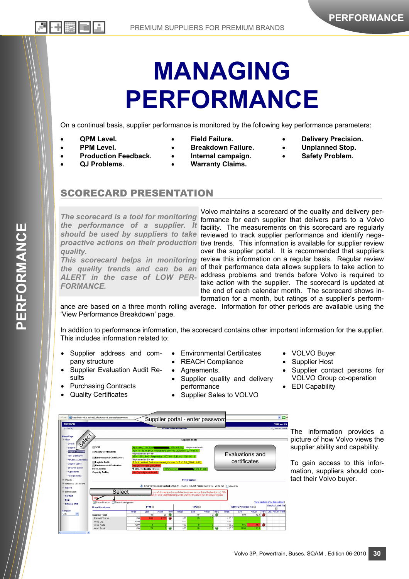# **MANAGING PERFORMANCE**

On a continual basis, supplier performance is monitored by the following key performance parameters:

• **QPM Level.** 

• **PPM Level.** 

• **QJ Problems.** 

• **Production Feedback.** 

- **Field Failure.**
- **Breakdown Failure.** 
	- **Internal campaign.**
	- **Warranty Claims.**
- **Delivery Precision.**
- **Unplanned Stop.**
- **Safety Problem.**

## SCORECARD PRESENTATION

*The scorecard is a tool for monitoring the performance of a supplier. It quality.* 

*FORMANCE.* 

Volvo maintains a scorecard of the quality and delivery performance for each supplier that delivers parts to a Volvo facility. The measurements on this scorecard are regularly should be used by suppliers to take reviewed to track supplier performance and identify negaproactive actions on their production tive trends. This information is available for supplier review over the supplier portal. It is recommended that suppliers This scorecard helps in monitoring review this information on a regular basis. Regular review the quality trends and can be an <sup>of their performance data allows suppliers to take action to</sup> ALERT in the case of LOW PER-address problems and trends before Volvo is required to take action with the supplier. The scorecard is updated at the end of each calendar month. The scorecard shows information for a month, but ratings of a supplier's perform-

ance are based on a three month rolling average. Information for other periods are available using the 'View Performance Breakdown' page.

In addition to performance information, the scorecard contains other important information for the supplier. This includes information related to:

- Supplier address and company structure
- Supplier Evaluation Audit Results

Select

Targe

<u>Emronment Evaluatio</u><br>MA / Criticality 1 Inde:

**PPM**<sub>E</sub>

Last

.<br>nental Certif

- Purchasing Contracts
- Quality Certificates

**El Envir El Logistic Audi** 

Supplier Total<br>Renault Trucks Renault Tru<br>Volvo CE<br>Volvo Parts<br>Volvo Truck

Select

**B** http://vsi

-<br>Doumant Tor **Lindate** 

..........<br>Renor Inform:<br>Contac<br>Help<br>Extern

- Environmental Certificates
- REACH Compliance
- Agreements.
- Supplier quality and delivery performance

Evaluations and certificates

ia m

Last

- Supplier Sales to VOLVO
- VOLVO Buyer
- Supplier Host
- Supplier contact persons for VOLVO Group co-operation
- EDI Capability

 $\sqrt{5}$ 

evel (9 **P**<br>stual Tren

The information provides a picture of how Volvo views the supplier ability and capability.

> To gain access to this information, suppliers should contact their Volvo buyer.

Volvo 3P, Powertrain, Buses. SQAM . Edition 06-2010 **30** 



Supplier portal - enter password

Performanc es used: Actual (2008-11 - 2009-01), Last Period (2008-10 - 2008-12) | IT View Int

OPM<sup>E</sup>

Last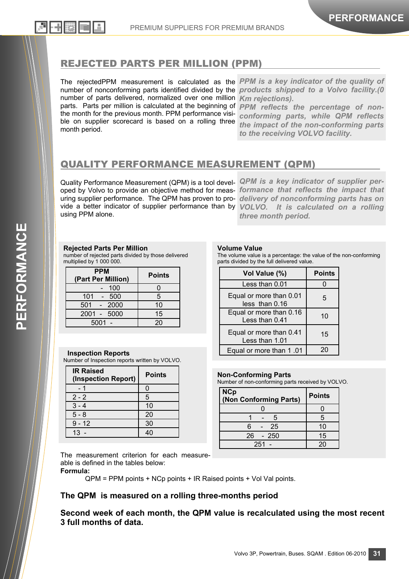### REJECTED PARTS PER MILLION (PPM)

The rejectedPPM measurement is calculated as the *PPM is a key indicator of the quality of*  number of nonconforming parts identified divided by the *products shipped to a Volvo facility.(0*  number of parts delivered, normalized over one million *Km rejections).*  parts. Parts per million is calculated at the beginning of *PPM reflects the percentage of non*the month for the previous month. PPM performance visible on supplier scorecard is based on a rolling three month period.

*conforming parts, while QPM reflects the impact of the non-conforming parts to the receiving VOLVO facility.* 

## QUALITY PERFORMANCE MEASUREMENT (QPM)

Quality Performance Measurement (QPM) is a tool devel-*QPM is a key indicator of supplier per*oped by Volvo to provide an objective method for meas-*formance that reflects the impact that*  uring supplier performance. The QPM has proven to pro-*delivery of nonconforming parts has on*  vide a better indicator of supplier performance than by *VOLVO. It is calculated on a rolling*  using PPM alone.

*three month period.* 

#### **Rejected Parts Per Million**

number of rejected parts divided by those delivered multiplied by 1 000 000.

| <b>PPM</b><br>(Part Per Million) | <b>Points</b> |
|----------------------------------|---------------|
| 100                              |               |
| 101<br>500                       | 5             |
| 501<br>$-2000$                   | 10            |
| 2001 - 5000                      | 15            |
| 5001                             | 20            |

#### **Inspection Reports**

Number of Inspection reports written by VOLVO.

| <b>IR Raised</b><br>(Inspection Report) | <b>Points</b> |  |
|-----------------------------------------|---------------|--|
|                                         | Ω             |  |
| $2 - 2$                                 | 5             |  |
| $3 - 4$                                 | 10            |  |
| $5 - 8$                                 | 20            |  |
| $9 - 12$                                | 30            |  |
| 13                                      |               |  |

#### **Volume Value**

The volume value is a percentage: the value of the non-conforming parts divided by the full delivered value.

| Vol Value (%)                             | <b>Points</b> |
|-------------------------------------------|---------------|
| Less than 0.01                            |               |
| Equal or more than 0.01<br>less than 0.16 | 5             |
| Equal or more than 0.16<br>Less than 0.41 | 10            |
| Equal or more than 0.41<br>Less than 1.01 | 15            |
| Equal or more than 1.01                   |               |

#### **Non-Conforming Parts**

Number of non-conforming parts received by VOLVO.

| <b>NCp</b><br>(Non Conforming Parts) | <b>Points</b> |  |
|--------------------------------------|---------------|--|
|                                      |               |  |
| 5                                    | 5             |  |
| 25<br>6                              | 10            |  |
| $26 - 250$                           | 15            |  |
| $251 -$                              |               |  |

The measurement criterion for each measureable is defined in the tables below:

**Formula:** 

QPM = PPM points + NCp points + IR Raised points + Vol Val points.

#### **The QPM is measured on a rolling three-months period**

**Second week of each month, the QPM value is recalculated using the most recent 3 full months of data.**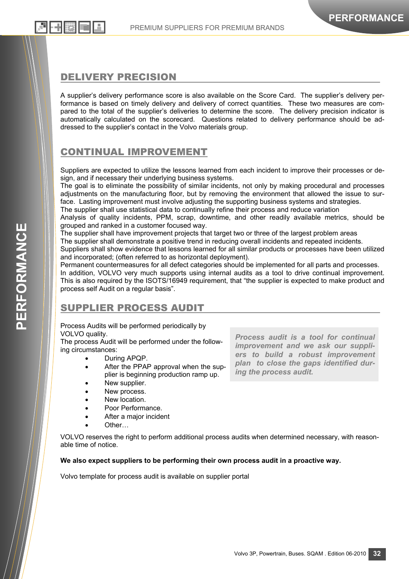### DELIVERY PRECISION

A supplier's delivery performance score is also available on the Score Card. The supplier's delivery performance is based on timely delivery and delivery of correct quantities. These two measures are compared to the total of the supplier's deliveries to determine the score. The delivery precision indicator is automatically calculated on the scorecard. Questions related to delivery performance should be addressed to the supplier's contact in the Volvo materials group.

## CONTINUAL IMPROVEMENT

Suppliers are expected to utilize the lessons learned from each incident to improve their processes or design, and if necessary their underlying business systems.

The goal is to eliminate the possibility of similar incidents, not only by making procedural and processes adjustments on the manufacturing floor, but by removing the environment that allowed the issue to surface. Lasting improvement must involve adjusting the supporting business systems and strategies.

The supplier shall use statistical data to continually refine their process and reduce variation

Analysis of quality incidents, PPM, scrap, downtime, and other readily available metrics, should be grouped and ranked in a customer focused way.

The supplier shall have improvement projects that target two or three of the largest problem areas

The supplier shall demonstrate a positive trend in reducing overall incidents and repeated incidents.

Suppliers shall show evidence that lessons learned for all similar products or processes have been utilized and incorporated; (often referred to as horizontal deployment).

Permanent countermeasures for all defect categories should be implemented for all parts and processes. In addition, VOLVO very much supports using internal audits as a tool to drive continual improvement. This is also required by the ISOTS/16949 requirement, that "the supplier is expected to make product and process self Audit on a regular basis".

# SUPPLIER PROCESS AUDIT

Process Audits will be performed periodically by VOLVO quality.

The process Audit will be performed under the following circumstances:

- During APQP.
- After the PPAP approval when the supplier is beginning production ramp up.
- New supplier.
- New process.
- New location.
- Poor Performance.
- After a major incident
- Other…

VOLVO reserves the right to perform additional process audits when determined necessary, with reasonable time of notice.

#### **We also expect suppliers to be performing their own process audit in a proactive way.**

Volvo template for process audit is available on supplier portal

*Process audit is a tool for continual improvement and we ask our suppliers to build a robust improvement plan to close the gaps identified during the process audit.*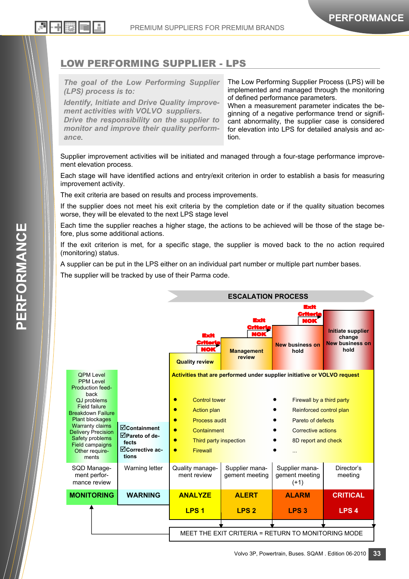

## LOW PERFORMING SUPPLIER - LPS

*The goal of the Low Performing Supplier (LPS) process is to:* 

*Identify, Initiate and Drive Quality improvement activities with VOLVO suppliers. Drive the responsibility on the supplier to monitor and improve their quality performance*.

The Low Performing Supplier Process (LPS) will be implemented and managed through the monitoring of defined performance parameters.

When a measurement parameter indicates the beginning of a negative performance trend or significant abnormality, the supplier case is considered for elevation into LPS for detailed analysis and action.

Supplier improvement activities will be initiated and managed through a four-stage performance improvement elevation process.

Each stage will have identified actions and entry/exit criterion in order to establish a basis for measuring improvement activity.

The exit criteria are based on results and process improvements.

If the supplier does not meet his exit criteria by the completion date or if the quality situation becomes worse, they will be elevated to the next LPS stage level

Each time the supplier reaches a higher stage, the actions to be achieved will be those of the stage before, plus some additional actions.

If the exit criterion is met, for a specific stage, the supplier is moved back to the no action required (monitoring) status.

A supplier can be put in the LPS either on an individual part number or multiple part number bases.

The supplier will be tracked by use of their Parma code.

|                                                                                                                                                                                                                                                                                                                   |                                                                           | <b>ESCALATION PROCESS</b>                                                                                                                                                             |                                                                          |                                                                                                                                           |                                                               |
|-------------------------------------------------------------------------------------------------------------------------------------------------------------------------------------------------------------------------------------------------------------------------------------------------------------------|---------------------------------------------------------------------------|---------------------------------------------------------------------------------------------------------------------------------------------------------------------------------------|--------------------------------------------------------------------------|-------------------------------------------------------------------------------------------------------------------------------------------|---------------------------------------------------------------|
|                                                                                                                                                                                                                                                                                                                   |                                                                           | Erit<br>critor<br>NOK<br><b>Quality review</b>                                                                                                                                        | Exit<br>Critori<br>NOK<br><b>Management</b><br>review                    | <b>Exit</b><br>Criterk<br>NOK<br><b>New business on</b><br>hold                                                                           | Initiate supplier<br>change<br><b>New business on</b><br>hold |
| <b>OPM Level</b><br><b>PPM Level</b><br><b>Production feed-</b><br>back<br><b>QJ</b> problems<br><b>Field failure</b><br><b>Breakdown Failure</b><br><b>Plant blockages</b><br><b>Warranty claims</b><br><b>Delivery Precision</b><br><b>Safety problems</b><br><b>Field campaigns</b><br>Other require-<br>ments | $\Box$ Containment<br>⊡Pareto of de-<br>fects<br>⊡Corrective ac-<br>tions | <b>Control tower</b><br>$\bullet$<br><b>Action plan</b><br>۰<br><b>Process audit</b><br>۰<br>Containment<br>$\bullet$<br>Third party inspection<br>$\bullet$<br>Firewall<br>$\bullet$ | Activities that are performed under supplier initiative or VOLVO request | Firewall by a third party<br>Reinforced control plan<br>Pareto of defects<br><b>Corrective actions</b><br>8D report and check<br>$\cdots$ |                                                               |
| SQD Manage-<br>ment perfor-<br>mance review                                                                                                                                                                                                                                                                       | Warning letter                                                            | Quality manage-<br>ment review                                                                                                                                                        | Supplier mana-<br>gement meeting                                         | Supplier mana-<br>gement meeting<br>$(+1)$                                                                                                | Director's<br>meeting                                         |
| <b>MONITORING</b>                                                                                                                                                                                                                                                                                                 | <b>WARNING</b>                                                            | <b>ANALYZE</b>                                                                                                                                                                        | <b>ALERT</b>                                                             | <b>ALARM</b>                                                                                                                              | <b>CRITICAL</b>                                               |
|                                                                                                                                                                                                                                                                                                                   |                                                                           | LPS <sub>1</sub>                                                                                                                                                                      | LPS <sub>2</sub>                                                         | LPS <sub>3</sub>                                                                                                                          | LPS <sub>4</sub>                                              |
|                                                                                                                                                                                                                                                                                                                   |                                                                           |                                                                                                                                                                                       | MEET THE EXIT CRITERIA = RETURN TO MONITORING MODE                       |                                                                                                                                           |                                                               |
|                                                                                                                                                                                                                                                                                                                   |                                                                           |                                                                                                                                                                                       |                                                                          |                                                                                                                                           |                                                               |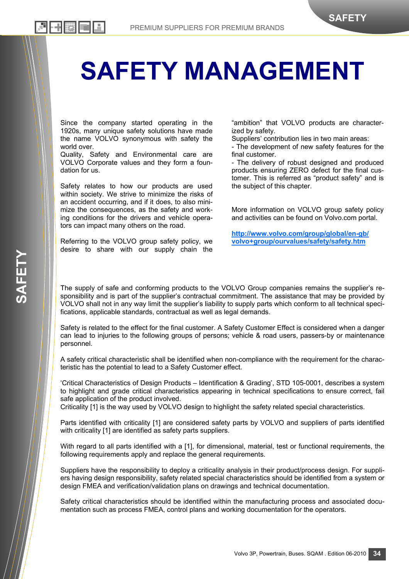# **SAFETY MANAGEMENT**

Since the company started operating in the 1920s, many unique safety solutions have made the name VOLVO synonymous with safety the world over.

리 카联 画

Quality, Safety and Environmental care are VOLVO Corporate values and they form a foundation for us.

Safety relates to how our products are used within society. We strive to minimize the risks of an accident occurring, and if it does, to also minimize the consequences, as the safety and working conditions for the drivers and vehicle operators can impact many others on the road.

Referring to the VOLVO group safety policy, we desire to share with our supply chain the

"ambition" that VOLVO products are characterized by safety.

Suppliers' contribution lies in two main areas:

- The development of new safety features for the final customer.

- The delivery of robust designed and produced products ensuring ZERO defect for the final customer. This is referred as "product safety" and is the subject of this chapter.

More information on VOLVO group safety policy and activities can be found on Volvo.com portal.

**http://www.volvo.com/group/global/en-gb/ volvo+group/ourvalues/safety/safety.htm**

The supply of safe and conforming products to the VOLVO Group companies remains the supplier's responsibility and is part of the supplier's contractual commitment. The assistance that may be provided by VOLVO shall not in any way limit the supplier's liability to supply parts which conform to all technical specifications, applicable standards, contractual as well as legal demands.

Safety is related to the effect for the final customer. A Safety Customer Effect is considered when a danger can lead to injuries to the following groups of persons; vehicle & road users, passers-by or maintenance personnel.

A safety critical characteristic shall be identified when non-compliance with the requirement for the characteristic has the potential to lead to a Safety Customer effect.

'Critical Characteristics of Design Products – Identification & Grading', STD 105-0001, describes a system to highlight and grade critical characteristics appearing in technical specifications to ensure correct, fail safe application of the product involved.

Criticality [1] is the way used by VOLVO design to highlight the safety related special characteristics.

Parts identified with criticality [1] are considered safety parts by VOLVO and suppliers of parts identified with criticality [1] are identified as safety parts suppliers.

With regard to all parts identified with a [1], for dimensional, material, test or functional requirements, the following requirements apply and replace the general requirements.

Suppliers have the responsibility to deploy a criticality analysis in their product/process design. For suppliers having design responsibility, safety related special characteristics should be identified from a system or design FMEA and verification/validation plans on drawings and technical documentation.

Safety critical characteristics should be identified within the manufacturing process and associated documentation such as process FMEA, control plans and working documentation for the operators.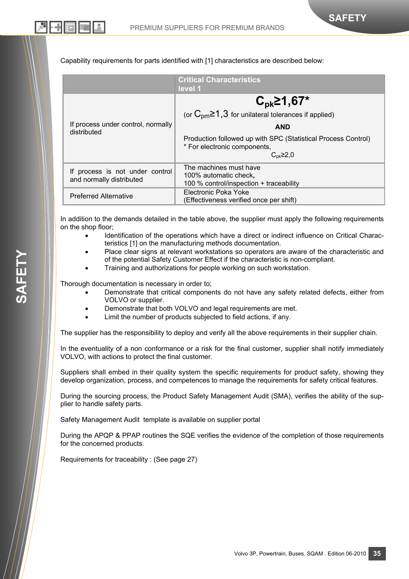Capability requirements for parts identified with [1] characteristics are described below:

|                                                             | <b>Critical Characteristics</b><br>level 1                                                                                                                                                                                         |
|-------------------------------------------------------------|------------------------------------------------------------------------------------------------------------------------------------------------------------------------------------------------------------------------------------|
| If process under control, normally<br>distributed           | $C_{\rm pk}$ 21,67*<br>(or $C_{\text{pm}} \ge 1.3$ for unilateral tolerances if applied)<br><b>AND</b><br>Production followed up with SPC (Statistical Process Control)<br>* For electronic components,<br>$C_{\rm pk}$ $\geq$ 2,0 |
| If process is not under control<br>and normally distributed | The machines must have<br>100% automatic check,<br>100 % control/inspection + traceability                                                                                                                                         |
| <b>Preferred Alternative</b>                                | Electronic Poka Yoke<br>(Effectiveness verified once per shift)                                                                                                                                                                    |

In addition to the demands detailed in the table above, the supplier must apply the following requirements on the shop floor;

- Identification of the operations which have a direct or indirect influence on Critical Characteristics [1] on the manufacturing methods documentation.
- Place clear signs at relevant workstations so operators are aware of the characteristic and of the potential Safety Customer Effect if the characteristic is non-compliant.
- Training and authorizations for people working on such workstation.

Thorough documentation is necessary in order to;

- Demonstrate that critical components do not have any safety related defects, either from VOLVO or supplier.
- Demonstrate that both VOLVO and legal requirements are met.
- Limit the number of products subjected to field actions, if any.

The supplier has the responsibility to deploy and verify all the above requirements in their supplier chain.

In the eventuality of a non conformance or a risk for the final customer, supplier shall notify immediately VOLVO, with actions to protect the final customer.

Suppliers shall embed in their quality system the specific requirements for product safety, showing they develop organization, process, and competences to manage the requirements for safety critical features.

During the sourcing process, the Product Safety Management Audit (SMA), verifies the ability of the supplier to handle safety parts.

Safety Management Audit template is available on supplier portal

During the APQP & PPAP routines the SQE verifies the evidence of the completion of those requirements for the concerned products.

Requirements for traceability : (See page 27)